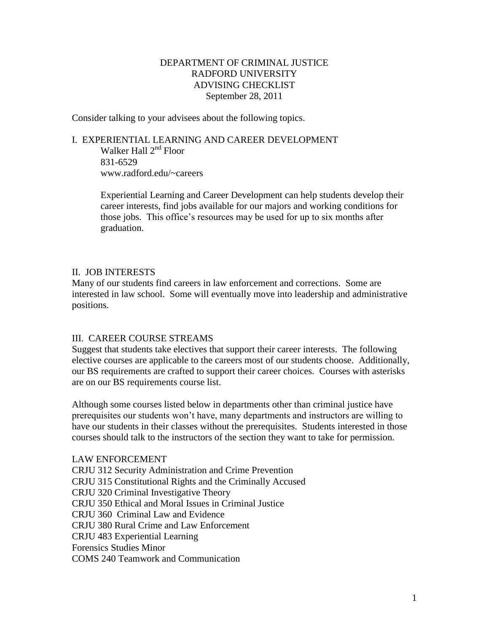## DEPARTMENT OF CRIMINAL JUSTICE RADFORD UNIVERSITY ADVISING CHECKLIST September 28, 2011

Consider talking to your advisees about the following topics.

# I. EXPERIENTIAL LEARNING AND CAREER DEVELOPMENT Walker Hall 2<sup>nd</sup> Floor

831-6529 www.radford.edu/~careers

Experiential Learning and Career Development can help students develop their career interests, find jobs available for our majors and working conditions for those jobs. This office's resources may be used for up to six months after graduation.

## II. JOB INTERESTS

Many of our students find careers in law enforcement and corrections. Some are interested in law school. Some will eventually move into leadership and administrative positions.

## III. CAREER COURSE STREAMS

Suggest that students take electives that support their career interests. The following elective courses are applicable to the careers most of our students choose. Additionally, our BS requirements are crafted to support their career choices. Courses with asterisks are on our BS requirements course list.

Although some courses listed below in departments other than criminal justice have prerequisites our students won't have, many departments and instructors are willing to have our students in their classes without the prerequisites. Students interested in those courses should talk to the instructors of the section they want to take for permission.

LAW ENFORCEMENT CRJU 312 Security Administration and Crime Prevention CRJU 315 Constitutional Rights and the Criminally Accused CRJU 320 Criminal Investigative Theory CRJU 350 Ethical and Moral Issues in Criminal Justice CRJU 360 Criminal Law and Evidence CRJU 380 Rural Crime and Law Enforcement CRJU 483 Experiential Learning Forensics Studies Minor COMS 240 Teamwork and Communication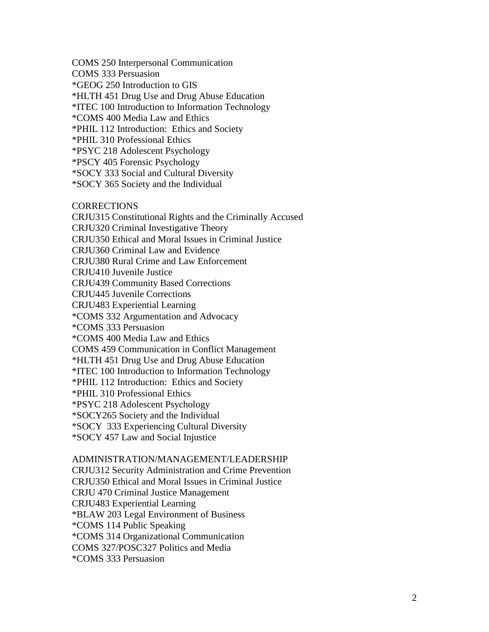COMS 250 Interpersonal Communication

COMS 333 Persuasion

\*GEOG 250 Introduction to GIS

\*HLTH 451 Drug Use and Drug Abuse Education

\*ITEC 100 Introduction to Information Technology

\*COMS 400 Media Law and Ethics

\*PHIL 112 Introduction: Ethics and Society

\*PHIL 310 Professional Ethics

\*PSYC 218 Adolescent Psychology

\*PSCY 405 Forensic Psychology

\*SOCY 333 Social and Cultural Diversity

\*SOCY 365 Society and the Individual

**CORRECTIONS** 

CRJU315 Constitutional Rights and the Criminally Accused CRJU320 Criminal Investigative Theory CRJU350 Ethical and Moral Issues in Criminal Justice CRJU360 Criminal Law and Evidence CRJU380 Rural Crime and Law Enforcement CRJU410 Juvenile Justice CRJU439 Community Based Corrections CRJU445 Juvenile Corrections CRJU483 Experiential Learning \*COMS 332 Argumentation and Advocacy \*COMS 333 Persuasion \*COMS 400 Media Law and Ethics COMS 459 Communication in Conflict Management \*HLTH 451 Drug Use and Drug Abuse Education \*ITEC 100 Introduction to Information Technology \*PHIL 112 Introduction: Ethics and Society \*PHIL 310 Professional Ethics \*PSYC 218 Adolescent Psychology \*SOCY265 Society and the Individual \*SOCY 333 Experiencing Cultural Diversity

\*SOCY 457 Law and Social Injustice

#### ADMINISTRATION/MANAGEMENT/LEADERSHIP

CRJU312 Security Administration and Crime Prevention CRJU350 Ethical and Moral Issues in Criminal Justice CRJU 470 Criminal Justice Management CRJU483 Experiential Learning \*BLAW 203 Legal Environment of Business \*COMS 114 Public Speaking \*COMS 314 Organizational Communication COMS 327/POSC327 Politics and Media \*COMS 333 Persuasion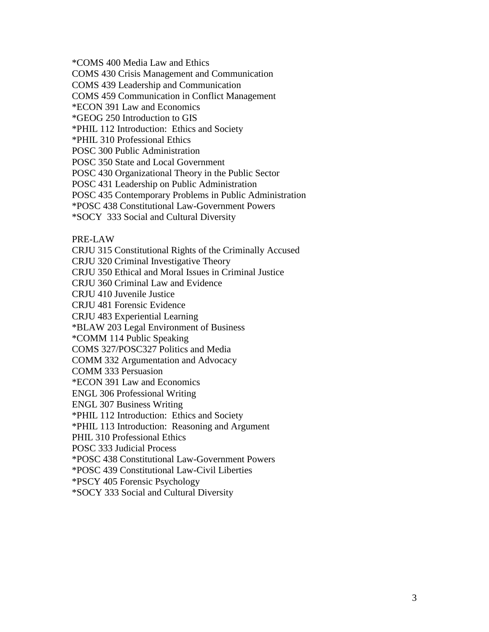\*COMS 400 Media Law and Ethics

COMS 430 Crisis Management and Communication

COMS 439 Leadership and Communication

COMS 459 Communication in Conflict Management

\*ECON 391 Law and Economics

\*GEOG 250 Introduction to GIS

\*PHIL 112 Introduction: Ethics and Society

\*PHIL 310 Professional Ethics

POSC 300 Public Administration

POSC 350 State and Local Government

POSC 430 Organizational Theory in the Public Sector

POSC 431 Leadership on Public Administration

POSC 435 Contemporary Problems in Public Administration

\*POSC 438 Constitutional Law-Government Powers

\*SOCY 333 Social and Cultural Diversity

PRE-LAW

CRJU 315 Constitutional Rights of the Criminally Accused CRJU 320 Criminal Investigative Theory

CRJU 350 Ethical and Moral Issues in Criminal Justice

CRJU 360 Criminal Law and Evidence

CRJU 410 Juvenile Justice

CRJU 481 Forensic Evidence

CRJU 483 Experiential Learning

\*BLAW 203 Legal Environment of Business

\*COMM 114 Public Speaking

COMS 327/POSC327 Politics and Media

COMM 332 Argumentation and Advocacy

COMM 333 Persuasion

\*ECON 391 Law and Economics

ENGL 306 Professional Writing

ENGL 307 Business Writing

\*PHIL 112 Introduction: Ethics and Society

\*PHIL 113 Introduction: Reasoning and Argument

PHIL 310 Professional Ethics

POSC 333 Judicial Process

\*POSC 438 Constitutional Law-Government Powers

\*POSC 439 Constitutional Law-Civil Liberties

\*PSCY 405 Forensic Psychology

\*SOCY 333 Social and Cultural Diversity